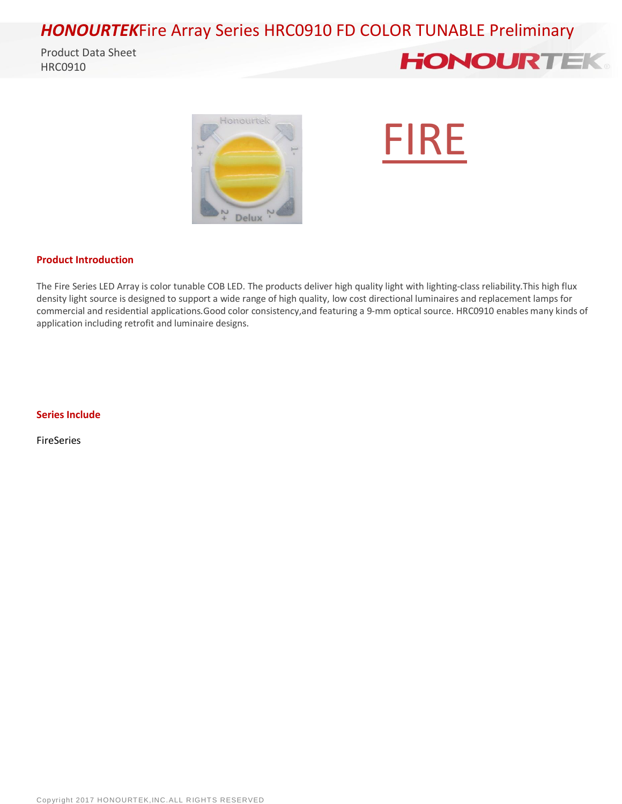### *HONOURTEK*Fire Array Series HRC0910 FD COLOR TUNABLE Preliminary

Product Data Sheet HRC0910







#### **Product Introduction**

The Fire Series LED Array is color tunable COB LED. The products deliver high quality light with lighting-class reliability.This high flux density light source is designed to support a wide range of high quality, low cost directional luminaires and replacement lamps for commercial and residential applications.Good color consistency,and featuring a 9-mm optical source. HRC0910 enables many kinds of application including retrofit and luminaire designs.

#### **Series Include**

FireSeries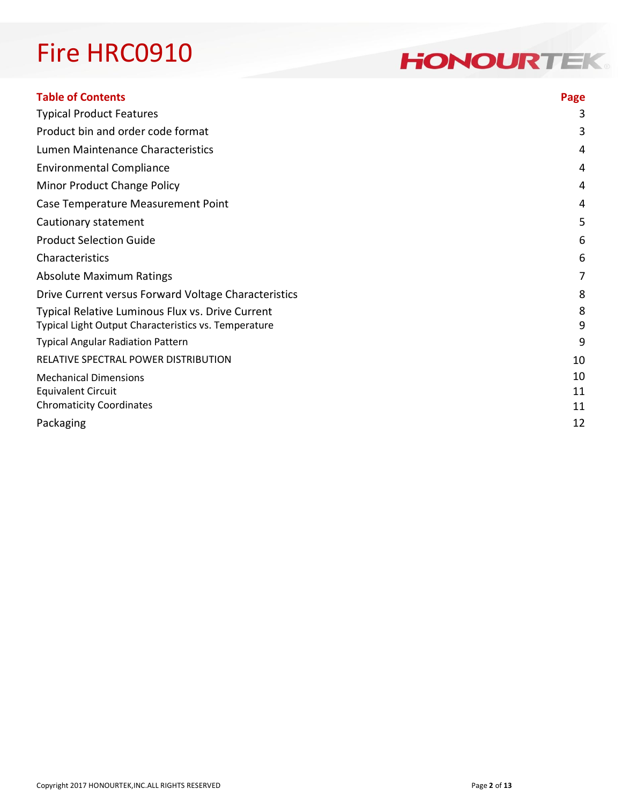### **HONOURTEK**

| <b>Table of Contents</b>                             | Page |
|------------------------------------------------------|------|
| <b>Typical Product Features</b>                      | 3    |
| Product bin and order code format                    | 3    |
| Lumen Maintenance Characteristics                    | 4    |
| <b>Environmental Compliance</b>                      | 4    |
| Minor Product Change Policy                          | 4    |
| Case Temperature Measurement Point                   | 4    |
| Cautionary statement                                 | 5    |
| <b>Product Selection Guide</b>                       | 6    |
| Characteristics                                      | 6    |
| <b>Absolute Maximum Ratings</b>                      | 7    |
| Drive Current versus Forward Voltage Characteristics | 8    |
| Typical Relative Luminous Flux vs. Drive Current     | 8    |
| Typical Light Output Characteristics vs. Temperature | 9    |
| <b>Typical Angular Radiation Pattern</b>             | 9    |
| RELATIVE SPECTRAL POWER DISTRIBUTION                 | 10   |
| <b>Mechanical Dimensions</b>                         | 10   |
| <b>Equivalent Circuit</b>                            | 11   |
| <b>Chromaticity Coordinates</b>                      | 11   |
| Packaging                                            | 12   |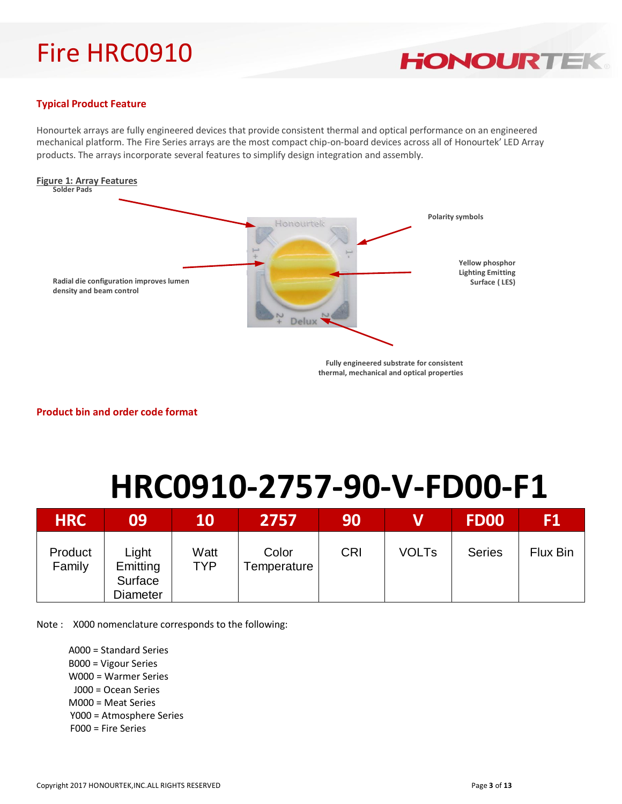

#### **Typical Product Feature**

Honourtek arrays are fully engineered devices that provide consistent thermal and optical performance on an engineered mechanical platform. The Fire Series arrays are the most compact chip-on-board devices across all of Honourtek' LED Array products. The arrays incorporate several features to simplify design integration and assembly.



**Product bin and order code format**

# **HRC0910-2757-90-V-FD00-F1**

| <b>HRC</b>        | 09                                       | 10                 | 2757                 | 90         |              | <b>FD00</b>   | F1       |
|-------------------|------------------------------------------|--------------------|----------------------|------------|--------------|---------------|----------|
| Product<br>Family | Light<br>Emitting<br>Surface<br>Diameter | Watt<br><b>TYP</b> | Color<br>Temperature | <b>CRI</b> | <b>VOLTs</b> | <b>Series</b> | Flux Bin |

Note : X000 nomenclature corresponds to the following:

A000 = Standard Series B000 = Vigour Series W000 = Warmer Series

- J000 = Ocean Series
- M000 = Meat Series
- Y000 = Atmosphere Series
- F000 = Fire Series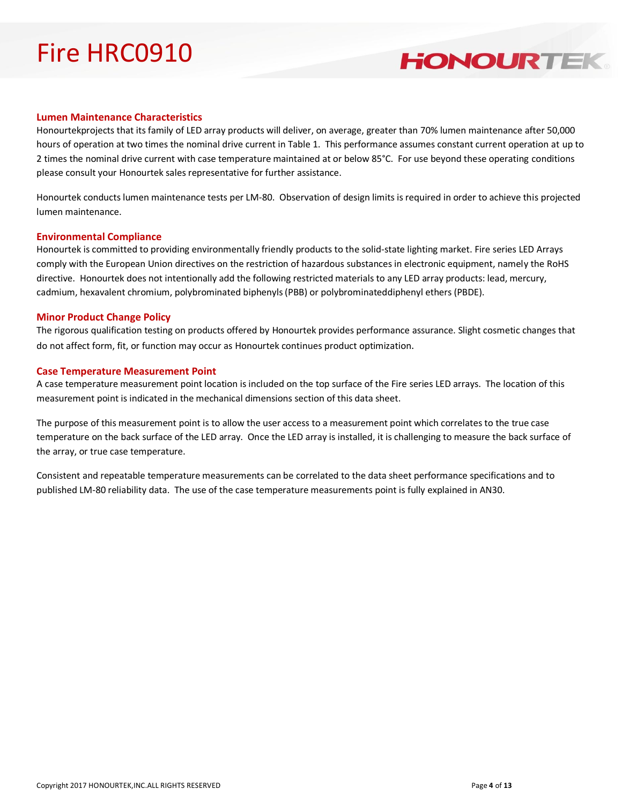### **HONOURTEK**

#### **Lumen Maintenance Characteristics**

Honourtekprojects that its family of LED array products will deliver, on average, greater than 70% lumen maintenance after 50,000 hours of operation at two times the nominal drive current in Table 1. This performance assumes constant current operation at up to 2 times the nominal drive current with case temperature maintained at or below 85°C. For use beyond these operating conditions please consult your Honourtek sales representative for further assistance.

Honourtek conducts lumen maintenance tests per LM-80. Observation of design limits is required in order to achieve this projected lumen maintenance.

#### **Environmental Compliance**

Honourtek is committed to providing environmentally friendly products to the solid-state lighting market. Fire series LED Arrays comply with the European Union directives on the restriction of hazardous substances in electronic equipment, namely the RoHS directive. Honourtek does not intentionally add the following restricted materials to any LED array products: lead, mercury, cadmium, hexavalent chromium, polybrominated biphenyls (PBB) or polybrominateddiphenyl ethers (PBDE).

#### **Minor Product Change Policy**

The rigorous qualification testing on products offered by Honourtek provides performance assurance. Slight cosmetic changes that do not affect form, fit, or function may occur as Honourtek continues product optimization.

#### **Case Temperature Measurement Point**

A case temperature measurement point location is included on the top surface of the Fire series LED arrays. The location of this measurement point is indicated in the mechanical dimensions section of this data sheet.

The purpose of this measurement point is to allow the user access to a measurement point which correlates to the true case temperature on the back surface of the LED array. Once the LED array is installed, it is challenging to measure the back surface of the array, or true case temperature.

Consistent and repeatable temperature measurements can be correlated to the data sheet performance specifications and to published LM-80 reliability data. The use of the case temperature measurements point is fully explained in AN30.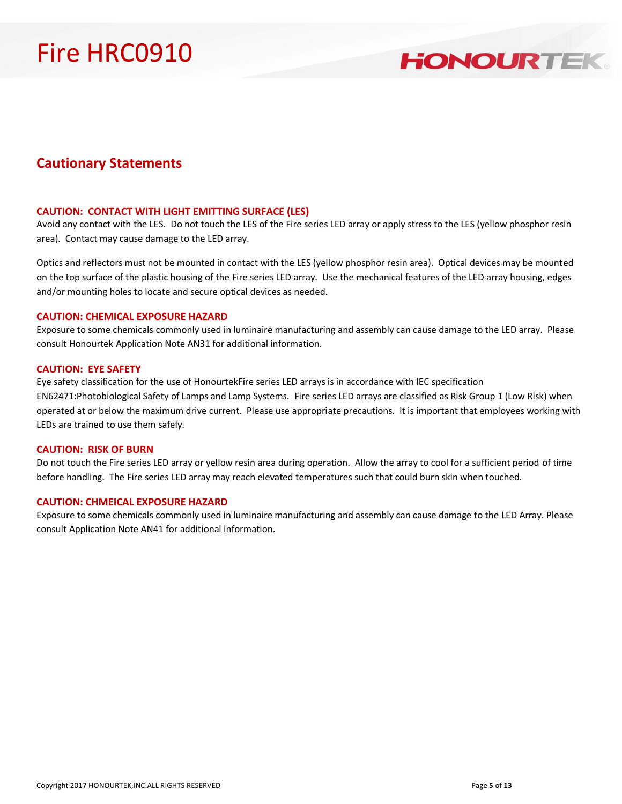### **HONOURTEK**

#### **Cautionary Statements**

#### **CAUTION: CONTACT WITH LIGHT EMITTING SURFACE (LES)**

Avoid any contact with the LES. Do not touch the LES of the Fire series LED array or apply stress to the LES (yellow phosphor resin area). Contact may cause damage to the LED array.

Optics and reflectors must not be mounted in contact with the LES (yellow phosphor resin area). Optical devices may be mounted on the top surface of the plastic housing of the Fire series LED array. Use the mechanical features of the LED array housing, edges and/or mounting holes to locate and secure optical devices as needed.

#### **CAUTION: CHEMICAL EXPOSURE HAZARD**

Exposure to some chemicals commonly used in luminaire manufacturing and assembly can cause damage to the LED array. Please consult Honourtek Application Note AN31 for additional information.

#### **CAUTION: EYE SAFETY**

Eye safety classification for the use of HonourtekFire series LED arrays is in accordance with IEC specification EN62471:Photobiological Safety of Lamps and Lamp Systems. Fire series LED arrays are classified as Risk Group 1 (Low Risk) when operated at or below the maximum drive current. Please use appropriate precautions. It is important that employees working with LEDs are trained to use them safely.

#### **CAUTION: RISK OF BURN**

Do not touch the Fire series LED array or yellow resin area during operation. Allow the array to cool for a sufficient period of time before handling. The Fire series LED array may reach elevated temperatures such that could burn skin when touched.

#### **CAUTION: CHMEICAL EXPOSURE HAZARD**

Exposure to some chemicals commonly used in luminaire manufacturing and assembly can cause damage to the LED Array. Please consult Application Note AN41 for additional information.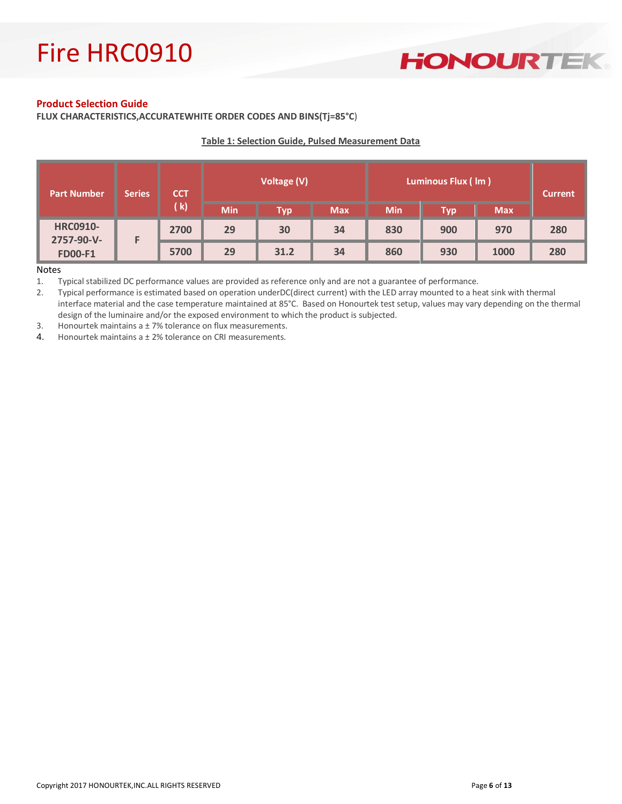### **HONOURTEK**

#### **Product Selection Guide**

**FLUX CHARACTERISTICS,ACCURATEWHITE ORDER CODES AND BINS(Tj=85°C**)

#### **Table 1: Selection Guide, Pulsed Measurement Data**

| <b>Part Number</b>            | Series | <b>CCT</b> | Voltage (V) |            | Luminous Flux (Im) |            |            | <b>Current</b> |     |
|-------------------------------|--------|------------|-------------|------------|--------------------|------------|------------|----------------|-----|
|                               | (k)    | <b>Min</b> | Тур         | <b>Max</b> | <b>Min</b>         | <b>Typ</b> | <b>Max</b> |                |     |
| <b>HRC0910-</b><br>2757-90-V- |        | 2700       | 29          | 30         | 34                 | 830        | 900        | 970            | 280 |
| <b>FD00-F1</b>                |        | 5700       | 29          | 31.2       | 34                 | 860        | 930        | 1000           | 280 |

#### Notes

1. Typical stabilized DC performance values are provided as reference only and are not a guarantee of performance.

2. Typical performance is estimated based on operation underDC(direct current) with the LED array mounted to a heat sink with thermal interface material and the case temperature maintained at 85°C. Based on Honourtek test setup, values may vary depending on the thermal design of the luminaire and/or the exposed environment to which the product is subjected.

3. Honourtek maintains a ± 7% tolerance on flux measurements.

4. Honourtek maintains a ± 2% tolerance on CRI measurements.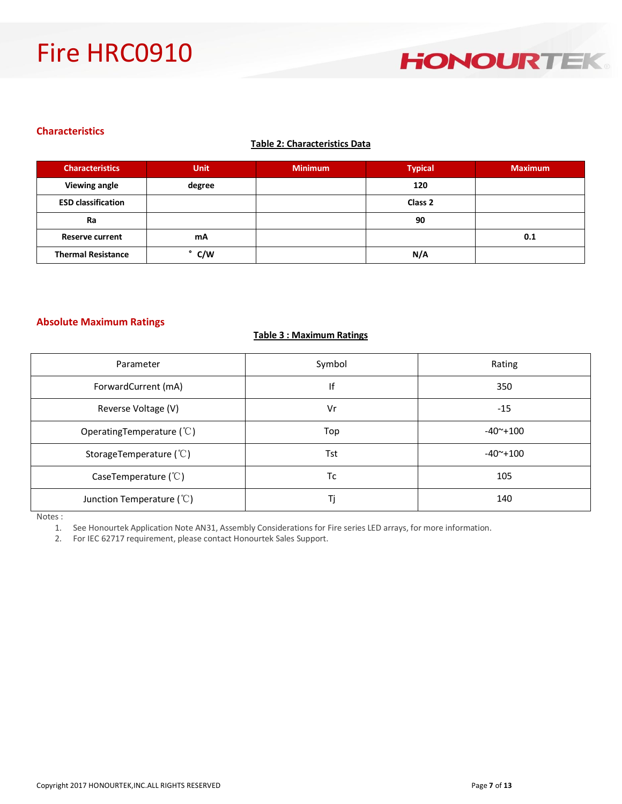#### **Characteristics**

#### **Table 2: Characteristics Data**

| <b>Characteristics</b>    | <b>Unit</b> | <b>Minimum</b> | <b>Typical</b>     | <b>Maximum</b> |
|---------------------------|-------------|----------------|--------------------|----------------|
| <b>Viewing angle</b>      | degree      |                | 120                |                |
| <b>ESD classification</b> |             |                | Class <sub>2</sub> |                |
| Ra                        |             |                | 90                 |                |
| <b>Reserve current</b>    | mA          |                |                    | 0.1            |
| <b>Thermal Resistance</b> | C/W         |                | N/A                |                |

#### **Absolute Maximum Ratings**

#### **Table 3 : Maximum Ratings**

| Parameter                       | Symbol | Rating           |
|---------------------------------|--------|------------------|
| ForwardCurrent (mA)             | lf     | 350              |
| Reverse Voltage (V)             | Vr     | $-15$            |
| Operating Temperature $(°C)$    | Top    | $-40^\sim + 100$ |
| StorageTemperature $(°C)$       | Tst    | $-40^{\sim}+100$ |
| CaseTemperature $(\mathcal{C})$ | Тc     | 105              |
| Junction Temperature $(°C)$     | Τi     | 140              |

Notes :

1. See Honourtek Application Note AN31, Assembly Considerations for Fire series LED arrays, for more information.

2. For IEC 62717 requirement, please contact Honourtek Sales Support.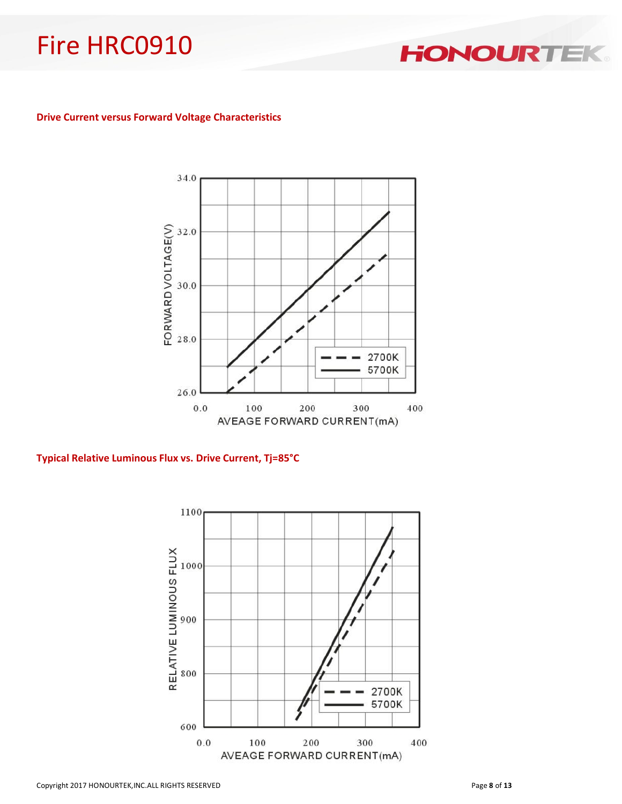**HONOURTER** 

#### **Drive Current versus Forward Voltage Characteristics**



#### **Typical Relative Luminous Flux vs. Drive Current, Tj=85°C**

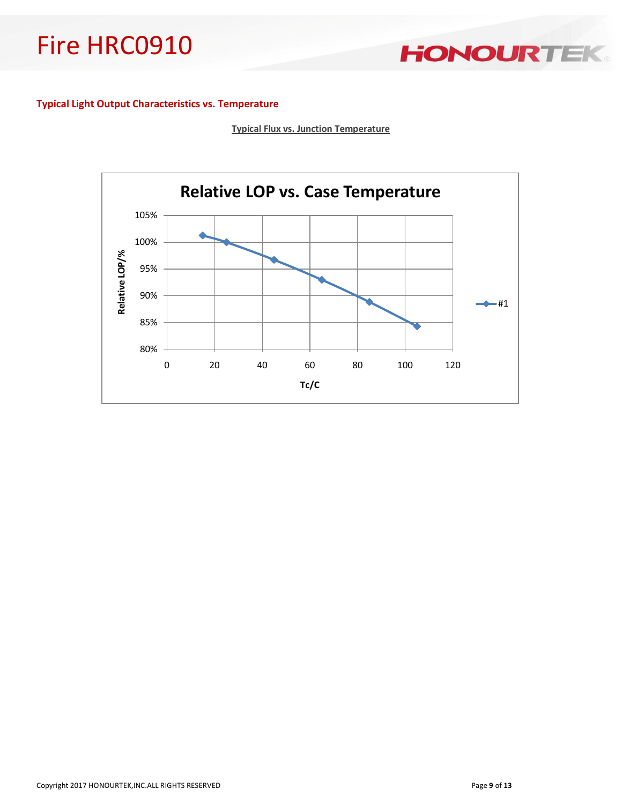HONOURTEK

#### **Typical Light Output Characteristics vs. Temperature**

**Typical Flux vs. Junction Temperature**

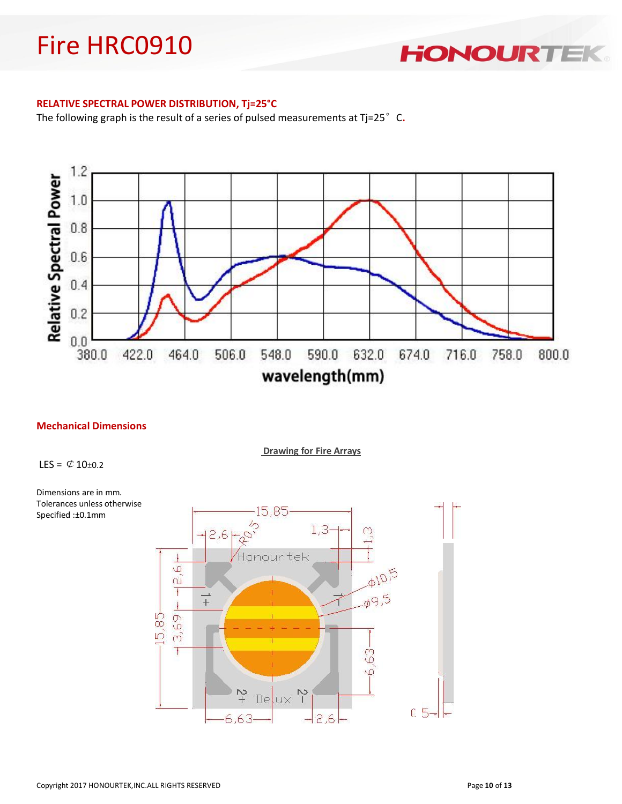**HONOURTE** 

#### **RELATIVE SPECTRAL POWER DISTRIBUTION, Tj=25°C**

The following graph is the result of a series of pulsed measurements at Tj=25°C.



#### **Mechanical Dimensions**

**Drawing for Fire Arrays**

LES =  $\varnothing$  10±0.2



Dimensions are in mm. Tolerances unless otherwise Specified :±0.1mm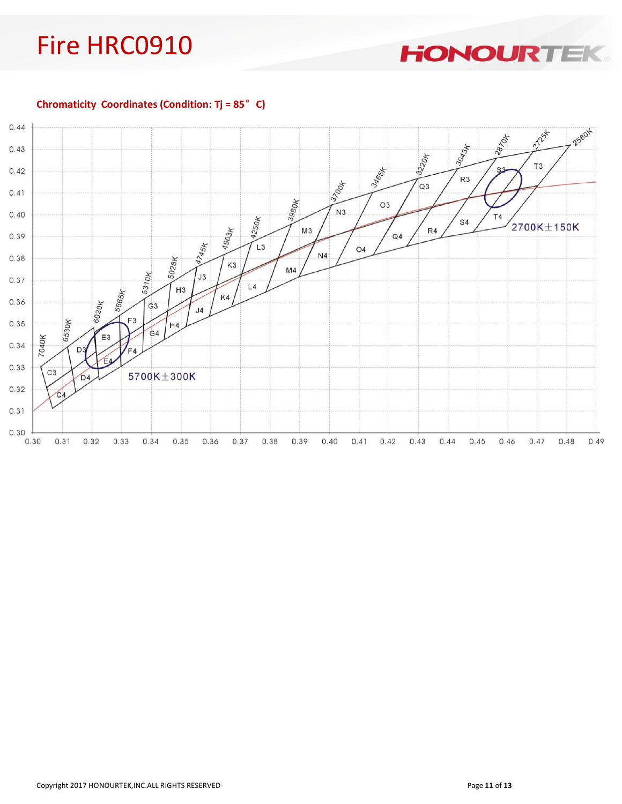**HONOURTEK** 

**Chromaticity Coordinates (Condition: Tj = 85**°**C)**

![](_page_10_Figure_3.jpeg)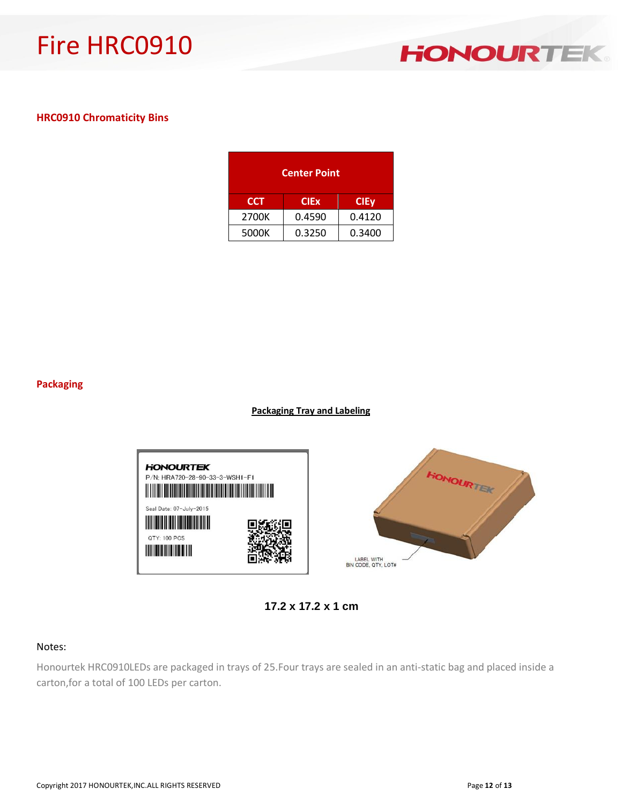![](_page_11_Picture_1.jpeg)

#### **HRC0910 Chromaticity Bins**

| <b>Center Point</b>                      |        |        |  |  |
|------------------------------------------|--------|--------|--|--|
| <b>CCT</b><br><b>CIEx</b><br><b>CIEy</b> |        |        |  |  |
| 2700K                                    | 0.4590 | 0.4120 |  |  |
| 5000K                                    | 0.3250 | 0.3400 |  |  |

#### **Packaging**

#### **Packaging Tray and Labeling**

![](_page_11_Figure_6.jpeg)

**17.2 x 17.2 x 1 cm**

#### Notes:

Honourtek HRC0910LEDs are packaged in trays of 25.Four trays are sealed in an anti-static bag and placed inside a carton,for a total of 100 LEDs per carton.